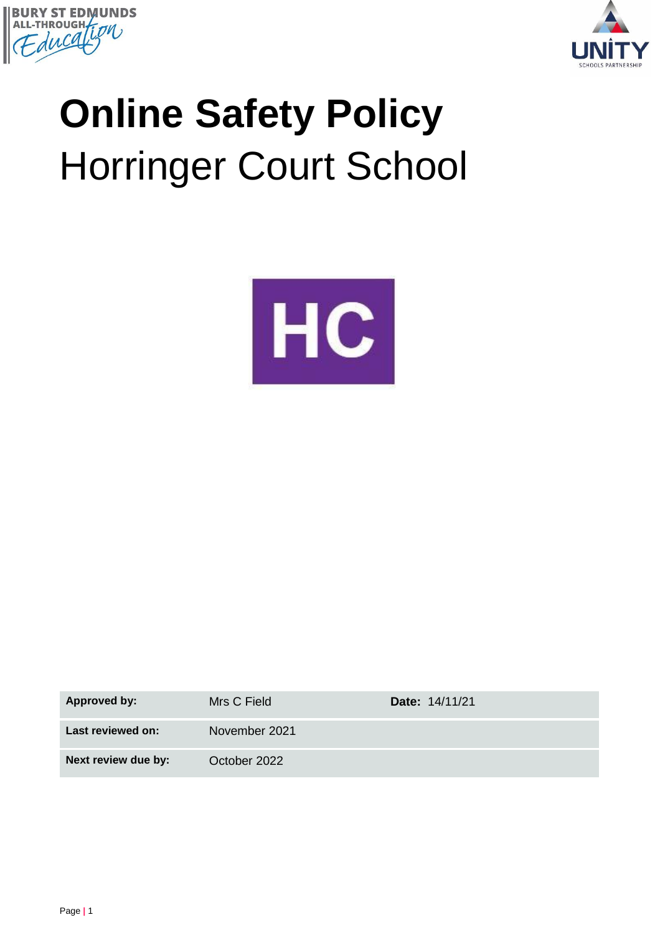



# **Online Safety Policy** Horringer Court School



| <b>Approved by:</b> | Mrs C Field   | <b>Date: 14/11/21</b> |
|---------------------|---------------|-----------------------|
| Last reviewed on:   | November 2021 |                       |
| Next review due by: | October 2022  |                       |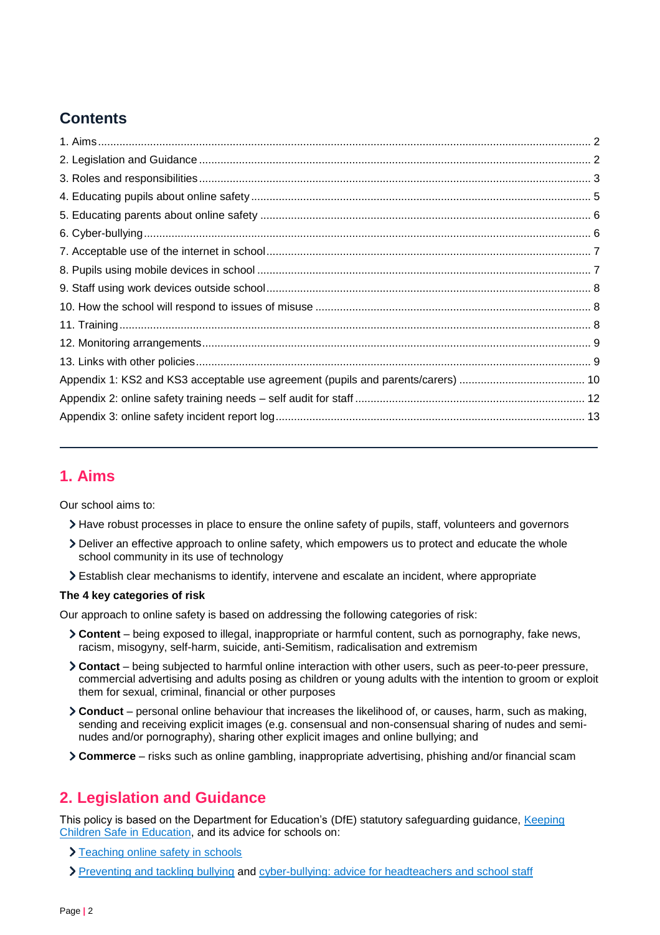## **Contents**

## <span id="page-1-0"></span>**1. Aims**

Our school aims to:

- Have robust processes in place to ensure the online safety of pupils, staff, volunteers and governors
- Deliver an effective approach to online safety, which empowers us to protect and educate the whole school community in its use of technology
- Establish clear mechanisms to identify, intervene and escalate an incident, where appropriate

#### **The 4 key categories of risk**

Our approach to online safety is based on addressing the following categories of risk:

- **Content** being exposed to illegal, inappropriate or harmful content, such as pornography, fake news, racism, misogyny, self-harm, suicide, anti-Semitism, radicalisation and extremism
- **Contact** being subjected to harmful online interaction with other users, such as peer-to-peer pressure, commercial advertising and adults posing as children or young adults with the intention to groom or exploit them for sexual, criminal, financial or other purposes
- **Conduct** personal online behaviour that increases the likelihood of, or causes, harm, such as making, sending and receiving explicit images (e.g. consensual and non-consensual sharing of nudes and seminudes and/or pornography), sharing other explicit images and online bullying; and
- **Commerce** risks such as online gambling, inappropriate advertising, phishing and/or financial scam

## <span id="page-1-1"></span>**2. Legislation and Guidance**

This policy is based on the Department for Education's (DfE) statutory safeguarding guidance, [Keeping](https://www.gov.uk/government/publications/keeping-children-safe-in-education--2)  [Children Safe in Education,](https://www.gov.uk/government/publications/keeping-children-safe-in-education--2) and its advice for schools on:

- > [Teaching online safety in schools](https://www.gov.uk/government/publications/teaching-online-safety-in-schools)
- [Preventing and tackling bullying](https://www.gov.uk/government/publications/preventing-and-tackling-bullying) and [cyber-bullying: advice for headteachers and school staff](https://www.gov.uk/government/publications/preventing-and-tackling-bullying)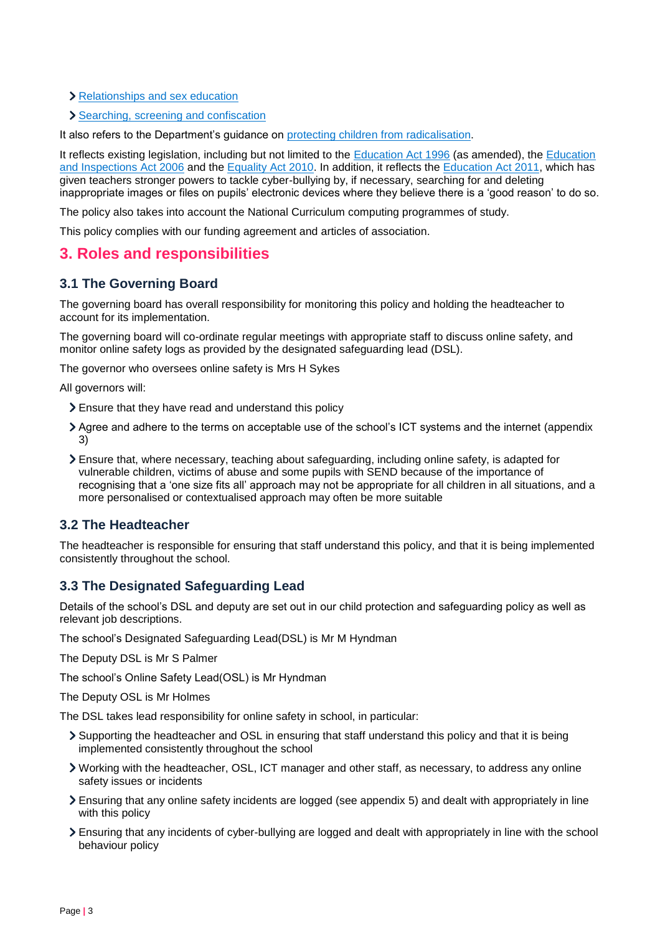- > [Relationships and sex education](https://www.gov.uk/government/publications/relationships-education-relationships-and-sex-education-rse-and-health-education)
- > [Searching, screening and confiscation](https://www.gov.uk/government/publications/searching-screening-and-confiscation)

It also refers to the Department's guidance on [protecting children from radicalisation.](https://www.gov.uk/government/publications/protecting-children-from-radicalisation-the-prevent-duty)

It reflects existing legislation, including but not limited to the [Education Act 1996](https://www.legislation.gov.uk/ukpga/1996/56/contents) (as amended), the [Education](https://www.legislation.gov.uk/ukpga/2006/40/contents)  [and Inspections Act 2006](https://www.legislation.gov.uk/ukpga/2006/40/contents) and the [Equality Act 2010.](https://www.legislation.gov.uk/ukpga/2010/15/contents) In addition, it reflects the [Education Act 2011,](http://www.legislation.gov.uk/ukpga/2011/21/contents/enacted) which has given teachers stronger powers to tackle cyber-bullying by, if necessary, searching for and deleting inappropriate images or files on pupils' electronic devices where they believe there is a 'good reason' to do so.

The policy also takes into account the National Curriculum computing programmes of study.

This policy complies with our funding agreement and articles of association.

## <span id="page-2-0"></span>**3. Roles and responsibilities**

## **3.1 The Governing Board**

The governing board has overall responsibility for monitoring this policy and holding the headteacher to account for its implementation.

The governing board will co-ordinate regular meetings with appropriate staff to discuss online safety, and monitor online safety logs as provided by the designated safeguarding lead (DSL).

The governor who oversees online safety is Mrs H Sykes

All governors will:

- Ensure that they have read and understand this policy
- Agree and adhere to the terms on acceptable use of the school's ICT systems and the internet (appendix 3)
- Ensure that, where necessary, teaching about safeguarding, including online safety, is adapted for vulnerable children, victims of abuse and some pupils with SEND because of the importance of recognising that a 'one size fits all' approach may not be appropriate for all children in all situations, and a more personalised or contextualised approach may often be more suitable

## **3.2 The Headteacher**

The headteacher is responsible for ensuring that staff understand this policy, and that it is being implemented consistently throughout the school.

## **3.3 The Designated Safeguarding Lead**

Details of the school's DSL and deputy are set out in our child protection and safeguarding policy as well as relevant job descriptions.

The school's Designated Safeguarding Lead(DSL) is Mr M Hyndman

The Deputy DSL is Mr S Palmer

The school's Online Safety Lead(OSL) is Mr Hyndman

The Deputy OSL is Mr Holmes

The DSL takes lead responsibility for online safety in school, in particular:

- Supporting the headteacher and OSL in ensuring that staff understand this policy and that it is being implemented consistently throughout the school
- Working with the headteacher, OSL, ICT manager and other staff, as necessary, to address any online safety issues or incidents
- Ensuring that any online safety incidents are logged (see appendix 5) and dealt with appropriately in line with this policy
- Ensuring that any incidents of cyber-bullying are logged and dealt with appropriately in line with the school behaviour policy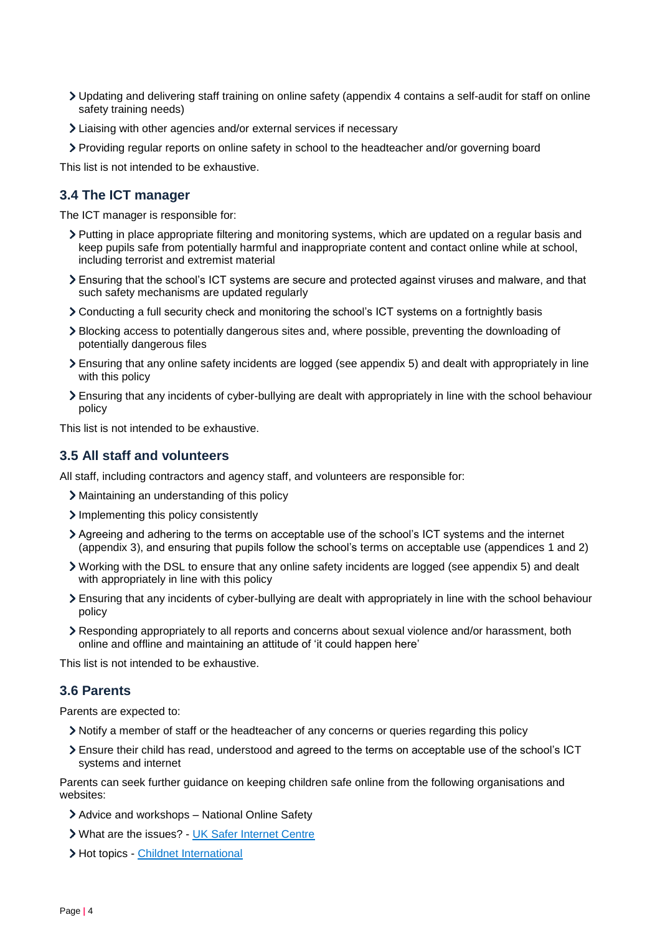- Updating and delivering staff training on online safety (appendix 4 contains a self-audit for staff on online safety training needs)
- Liaising with other agencies and/or external services if necessary
- Providing regular reports on online safety in school to the headteacher and/or governing board

This list is not intended to be exhaustive.

## **3.4 The ICT manager**

The ICT manager is responsible for:

- Putting in place appropriate filtering and monitoring systems, which are updated on a regular basis and keep pupils safe from potentially harmful and inappropriate content and contact online while at school, including terrorist and extremist material
- Ensuring that the school's ICT systems are secure and protected against viruses and malware, and that such safety mechanisms are updated regularly
- Conducting a full security check and monitoring the school's ICT systems on a fortnightly basis
- Blocking access to potentially dangerous sites and, where possible, preventing the downloading of potentially dangerous files
- Ensuring that any online safety incidents are logged (see appendix 5) and dealt with appropriately in line with this policy
- Ensuring that any incidents of cyber-bullying are dealt with appropriately in line with the school behaviour policy

This list is not intended to be exhaustive.

## **3.5 All staff and volunteers**

All staff, including contractors and agency staff, and volunteers are responsible for:

- Maintaining an understanding of this policy
- Implementing this policy consistently
- Agreeing and adhering to the terms on acceptable use of the school's ICT systems and the internet (appendix 3), and ensuring that pupils follow the school's terms on acceptable use (appendices 1 and 2)
- Working with the DSL to ensure that any online safety incidents are logged (see appendix 5) and dealt with appropriately in line with this policy
- Ensuring that any incidents of cyber-bullying are dealt with appropriately in line with the school behaviour policy
- Responding appropriately to all reports and concerns about sexual violence and/or harassment, both online and offline and maintaining an attitude of 'it could happen here'

This list is not intended to be exhaustive.

## **3.6 Parents**

Parents are expected to:

- Notify a member of staff or the headteacher of any concerns or queries regarding this policy
- Ensure their child has read, understood and agreed to the terms on acceptable use of the school's ICT systems and internet

Parents can seek further guidance on keeping children safe online from the following organisations and websites:

- Advice and workshops National Online Safety
- What are the issues? [UK Safer Internet Centre](https://www.saferinternet.org.uk/advice-centre/parents-and-carers/what-are-issues)
- > Hot topics [Childnet International](http://www.childnet.com/parents-and-carers/hot-topics)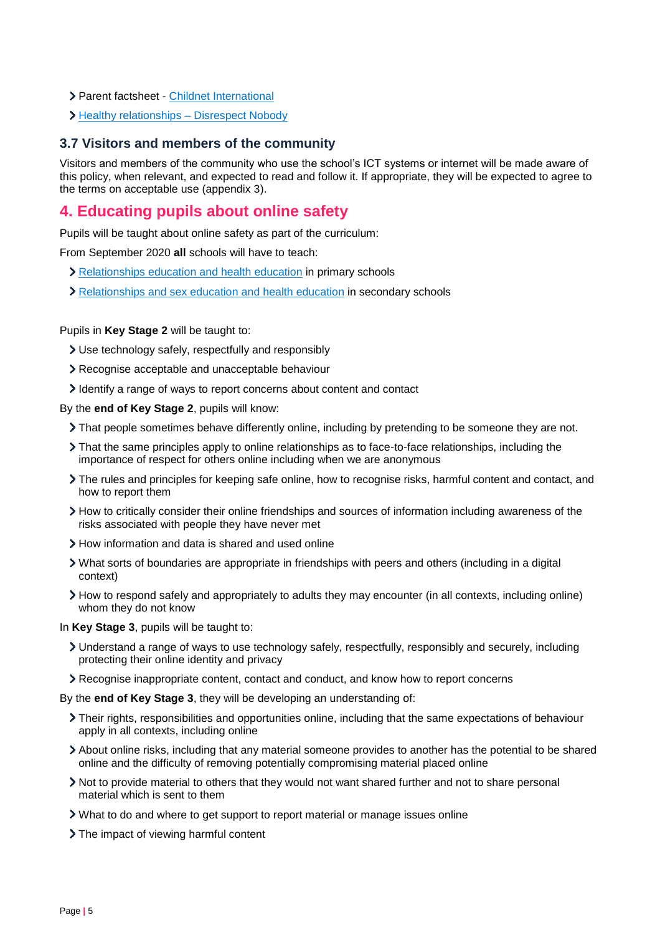- Parent factsheet [Childnet International](https://www.childnet.com/resources/parents-and-carers-resource-sheet)
- > Healthy relationships [Disrespect Nobody](https://www.disrespectnobody.co.uk/)

#### **3.7 Visitors and members of the community**

Visitors and members of the community who use the school's ICT systems or internet will be made aware of this policy, when relevant, and expected to read and follow it. If appropriate, they will be expected to agree to the terms on acceptable use (appendix 3).

## <span id="page-4-0"></span>**4. Educating pupils about online safety**

Pupils will be taught about online safety as part of the curriculum:

From September 2020 **all** schools will have to teach:

- > [Relationships education and health education](https://schoolleaders.thekeysupport.com/uid/8b76f587-7bf6-4994-abf0-43850c6e8d73/) in primary schools
- [Relationships and sex education and health education](https://schoolleaders.thekeysupport.com/uid/66a1d83e-2fb9-411e-91f1-fe52a09d16d1/) in secondary schools

#### Pupils in **Key Stage 2** will be taught to:

- Use technology safely, respectfully and responsibly
- Recognise acceptable and unacceptable behaviour
- I dentify a range of ways to report concerns about content and contact

By the **end of Key Stage 2**, pupils will know:

- That people sometimes behave differently online, including by pretending to be someone they are not.
- That the same principles apply to online relationships as to face-to-face relationships, including the importance of respect for others online including when we are anonymous
- The rules and principles for keeping safe online, how to recognise risks, harmful content and contact, and how to report them
- How to critically consider their online friendships and sources of information including awareness of the risks associated with people they have never met
- How information and data is shared and used online
- What sorts of boundaries are appropriate in friendships with peers and others (including in a digital context)
- How to respond safely and appropriately to adults they may encounter (in all contexts, including online) whom they do not know

In **Key Stage 3**, pupils will be taught to:

- Understand a range of ways to use technology safely, respectfully, responsibly and securely, including protecting their online identity and privacy
- Recognise inappropriate content, contact and conduct, and know how to report concerns
- By the **end of Key Stage 3**, they will be developing an understanding of:
	- Their rights, responsibilities and opportunities online, including that the same expectations of behaviour apply in all contexts, including online
	- About online risks, including that any material someone provides to another has the potential to be shared online and the difficulty of removing potentially compromising material placed online
	- Not to provide material to others that they would not want shared further and not to share personal material which is sent to them
	- What to do and where to get support to report material or manage issues online
	- > The impact of viewing harmful content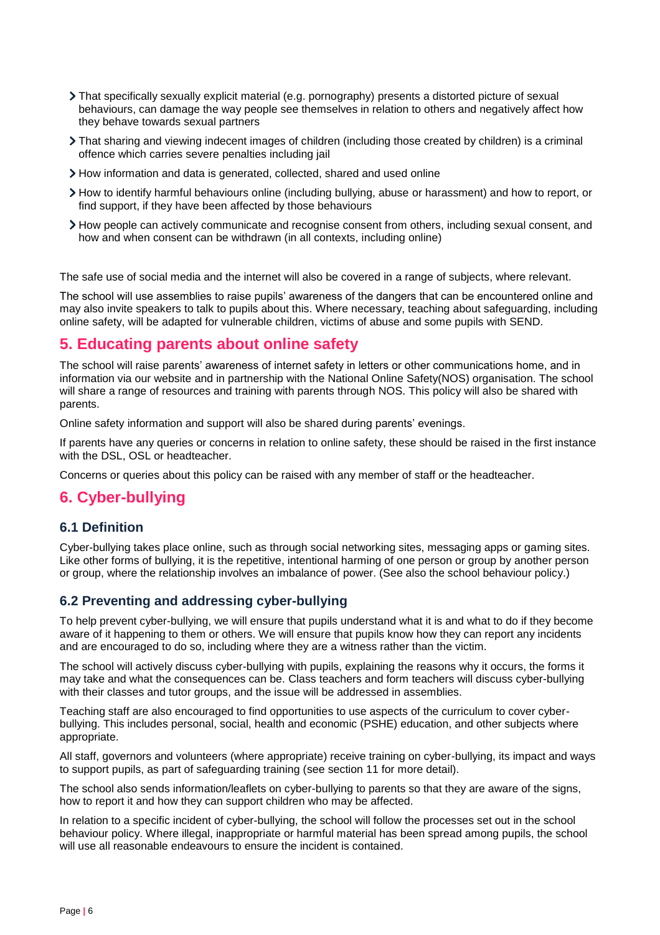- That specifically sexually explicit material (e.g. pornography) presents a distorted picture of sexual behaviours, can damage the way people see themselves in relation to others and negatively affect how they behave towards sexual partners
- That sharing and viewing indecent images of children (including those created by children) is a criminal offence which carries severe penalties including jail
- How information and data is generated, collected, shared and used online
- How to identify harmful behaviours online (including bullying, abuse or harassment) and how to report, or find support, if they have been affected by those behaviours
- How people can actively communicate and recognise consent from others, including sexual consent, and how and when consent can be withdrawn (in all contexts, including online)

The safe use of social media and the internet will also be covered in a range of subjects, where relevant.

The school will use assemblies to raise pupils' awareness of the dangers that can be encountered online and may also invite speakers to talk to pupils about this. Where necessary, teaching about safeguarding, including online safety, will be adapted for vulnerable children, victims of abuse and some pupils with SEND.

## <span id="page-5-0"></span>**5. Educating parents about online safety**

The school will raise parents' awareness of internet safety in letters or other communications home, and in information via our website and in partnership with the National Online Safety(NOS) organisation. The school will share a range of resources and training with parents through NOS. This policy will also be shared with parents.

Online safety information and support will also be shared during parents' evenings.

If parents have any queries or concerns in relation to online safety, these should be raised in the first instance with the DSL, OSL or headteacher.

Concerns or queries about this policy can be raised with any member of staff or the headteacher.

## <span id="page-5-1"></span>**6. Cyber-bullying**

#### **6.1 Definition**

Cyber-bullying takes place online, such as through social networking sites, messaging apps or gaming sites. Like other forms of bullying, it is the repetitive, intentional harming of one person or group by another person or group, where the relationship involves an imbalance of power. (See also the school behaviour policy.)

## **6.2 Preventing and addressing cyber-bullying**

To help prevent cyber-bullying, we will ensure that pupils understand what it is and what to do if they become aware of it happening to them or others. We will ensure that pupils know how they can report any incidents and are encouraged to do so, including where they are a witness rather than the victim.

The school will actively discuss cyber-bullying with pupils, explaining the reasons why it occurs, the forms it may take and what the consequences can be. Class teachers and form teachers will discuss cyber-bullying with their classes and tutor groups, and the issue will be addressed in assemblies.

Teaching staff are also encouraged to find opportunities to use aspects of the curriculum to cover cyberbullying. This includes personal, social, health and economic (PSHE) education, and other subjects where appropriate.

All staff, governors and volunteers (where appropriate) receive training on cyber-bullying, its impact and ways to support pupils, as part of safeguarding training (see section 11 for more detail).

The school also sends information/leaflets on cyber-bullying to parents so that they are aware of the signs, how to report it and how they can support children who may be affected.

In relation to a specific incident of cyber-bullying, the school will follow the processes set out in the school behaviour policy. Where illegal, inappropriate or harmful material has been spread among pupils, the school will use all reasonable endeavours to ensure the incident is contained.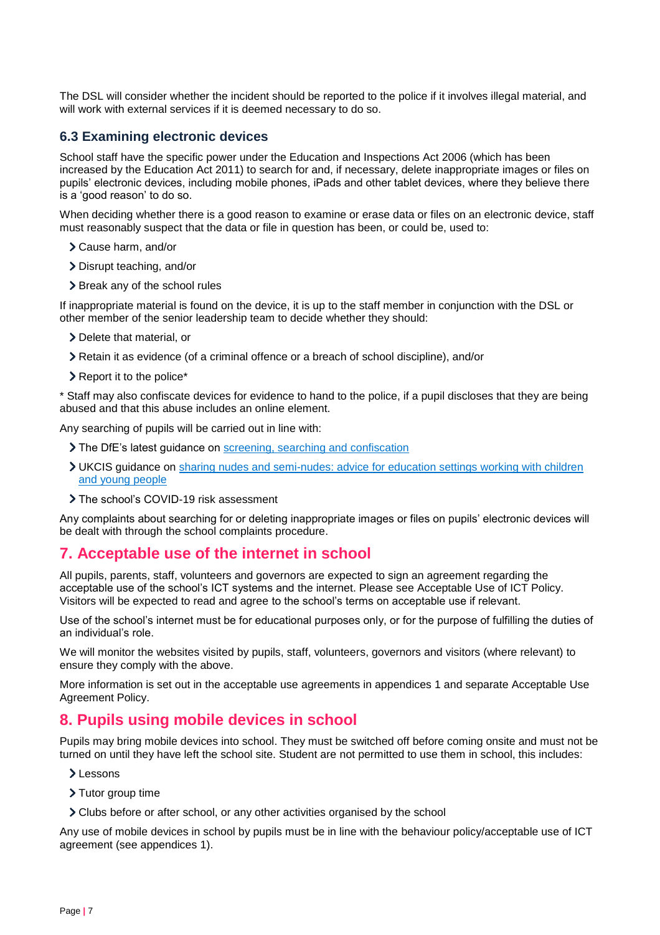The DSL will consider whether the incident should be reported to the police if it involves illegal material, and will work with external services if it is deemed necessary to do so.

#### **6.3 Examining electronic devices**

School staff have the specific power under the Education and Inspections Act 2006 (which has been increased by the Education Act 2011) to search for and, if necessary, delete inappropriate images or files on pupils' electronic devices, including mobile phones, iPads and other tablet devices, where they believe there is a 'good reason' to do so.

When deciding whether there is a good reason to examine or erase data or files on an electronic device, staff must reasonably suspect that the data or file in question has been, or could be, used to:

- Cause harm, and/or
- Disrupt teaching, and/or
- > Break any of the school rules

If inappropriate material is found on the device, it is up to the staff member in conjunction with the DSL or other member of the senior leadership team to decide whether they should:

- > Delete that material, or
- Retain it as evidence (of a criminal offence or a breach of school discipline), and/or
- **EXEC** Report it to the police<sup>\*</sup>

\* Staff may also confiscate devices for evidence to hand to the police, if a pupil discloses that they are being abused and that this abuse includes an online element.

Any searching of pupils will be carried out in line with:

- The DfE's latest guidance on [screening, searching and confiscation](https://www.gov.uk/government/publications/searching-screening-and-confiscation)
- UKCIS guidance on [sharing nudes and semi-nudes: advice for education settings working with children](https://www.gov.uk/government/publications/sharing-nudes-and-semi-nudes-advice-for-education-settings-working-with-children-and-young-people)  [and young people](https://www.gov.uk/government/publications/sharing-nudes-and-semi-nudes-advice-for-education-settings-working-with-children-and-young-people)
- > The school's COVID-19 risk assessment

Any complaints about searching for or deleting inappropriate images or files on pupils' electronic devices will be dealt with through the school complaints procedure.

## <span id="page-6-0"></span>**7. Acceptable use of the internet in school**

All pupils, parents, staff, volunteers and governors are expected to sign an agreement regarding the acceptable use of the school's ICT systems and the internet. Please see Acceptable Use of ICT Policy. Visitors will be expected to read and agree to the school's terms on acceptable use if relevant.

Use of the school's internet must be for educational purposes only, or for the purpose of fulfilling the duties of an individual's role.

We will monitor the websites visited by pupils, staff, volunteers, governors and visitors (where relevant) to ensure they comply with the above.

More information is set out in the acceptable use agreements in appendices 1 and separate Acceptable Use Agreement Policy.

## <span id="page-6-1"></span>**8. Pupils using mobile devices in school**

Pupils may bring mobile devices into school. They must be switched off before coming onsite and must not be turned on until they have left the school site. Student are not permitted to use them in school, this includes:

- Lessons
- > Tutor group time
- Clubs before or after school, or any other activities organised by the school

Any use of mobile devices in school by pupils must be in line with the behaviour policy/acceptable use of ICT agreement (see appendices 1).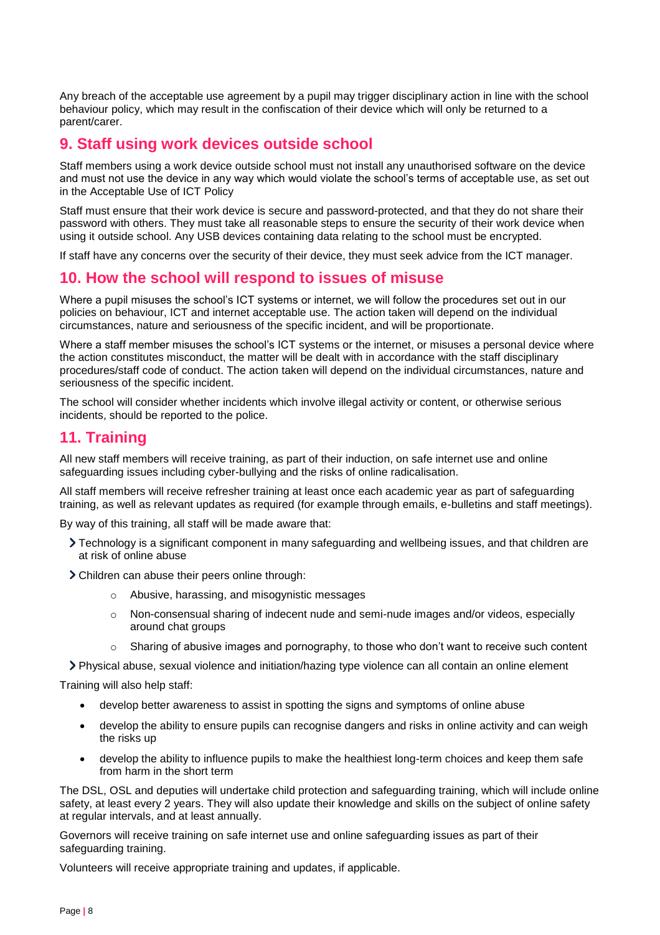Any breach of the acceptable use agreement by a pupil may trigger disciplinary action in line with the school behaviour policy, which may result in the confiscation of their device which will only be returned to a parent/carer.

## <span id="page-7-0"></span>**9. Staff using work devices outside school**

Staff members using a work device outside school must not install any unauthorised software on the device and must not use the device in any way which would violate the school's terms of acceptable use, as set out in the Acceptable Use of ICT Policy

Staff must ensure that their work device is secure and password-protected, and that they do not share their password with others. They must take all reasonable steps to ensure the security of their work device when using it outside school. Any USB devices containing data relating to the school must be encrypted.

If staff have any concerns over the security of their device, they must seek advice from the ICT manager.

## <span id="page-7-1"></span>**10. How the school will respond to issues of misuse**

Where a pupil misuses the school's ICT systems or internet, we will follow the procedures set out in our policies on behaviour, ICT and internet acceptable use. The action taken will depend on the individual circumstances, nature and seriousness of the specific incident, and will be proportionate.

Where a staff member misuses the school's ICT systems or the internet, or misuses a personal device where the action constitutes misconduct, the matter will be dealt with in accordance with the staff disciplinary procedures/staff code of conduct. The action taken will depend on the individual circumstances, nature and seriousness of the specific incident.

The school will consider whether incidents which involve illegal activity or content, or otherwise serious incidents, should be reported to the police.

## <span id="page-7-2"></span>**11. Training**

All new staff members will receive training, as part of their induction, on safe internet use and online safeguarding issues including cyber-bullying and the risks of online radicalisation.

All staff members will receive refresher training at least once each academic year as part of safeguarding training, as well as relevant updates as required (for example through emails, e-bulletins and staff meetings).

By way of this training, all staff will be made aware that:

- Technology is a significant component in many safeguarding and wellbeing issues, and that children are at risk of online abuse
- Children can abuse their peers online through:
	- o Abusive, harassing, and misogynistic messages
	- o Non-consensual sharing of indecent nude and semi-nude images and/or videos, especially around chat groups
	- $\circ$  Sharing of abusive images and pornography, to those who don't want to receive such content

Physical abuse, sexual violence and initiation/hazing type violence can all contain an online element

Training will also help staff:

- develop better awareness to assist in spotting the signs and symptoms of online abuse
- develop the ability to ensure pupils can recognise dangers and risks in online activity and can weigh the risks up
- develop the ability to influence pupils to make the healthiest long-term choices and keep them safe from harm in the short term

The DSL, OSL and deputies will undertake child protection and safeguarding training, which will include online safety, at least every 2 years. They will also update their knowledge and skills on the subject of online safety at regular intervals, and at least annually.

Governors will receive training on safe internet use and online safeguarding issues as part of their safeguarding training.

Volunteers will receive appropriate training and updates, if applicable.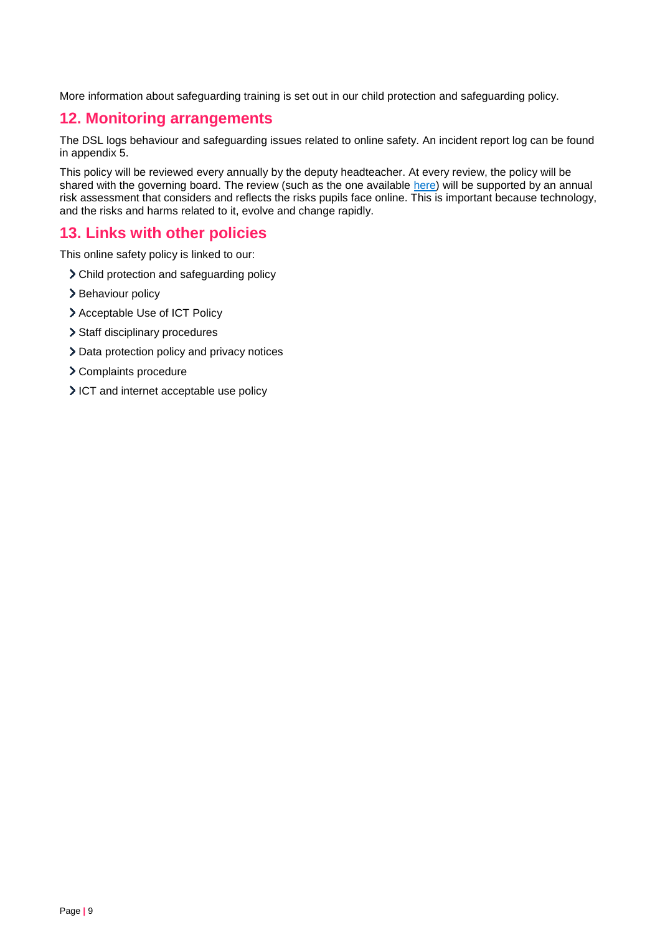More information about safeguarding training is set out in our child protection and safeguarding policy.

## <span id="page-8-0"></span>**12. Monitoring arrangements**

The DSL logs behaviour and safeguarding issues related to online safety. An incident report log can be found in appendix 5.

This policy will be reviewed every annually by the deputy headteacher. At every review, the policy will be shared with the governing board. The review (such as the one available [here\)](https://360safe.org.uk/) will be supported by an annual risk assessment that considers and reflects the risks pupils face online. This is important because technology, and the risks and harms related to it, evolve and change rapidly.

## <span id="page-8-1"></span>**13. Links with other policies**

This online safety policy is linked to our:

- Child protection and safeguarding policy
- > Behaviour policy
- > Acceptable Use of ICT Policy
- > Staff disciplinary procedures
- > Data protection policy and privacy notices
- Complaints procedure
- ICT and internet acceptable use policy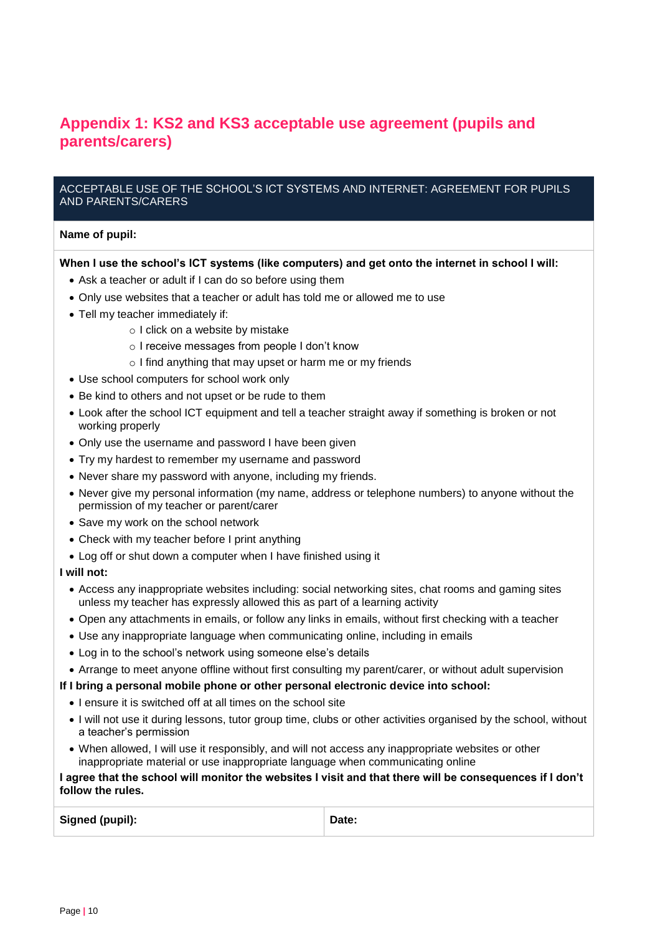## <span id="page-9-0"></span>**Appendix 1: KS2 and KS3 acceptable use agreement (pupils and parents/carers)**

#### ACCEPTABLE USE OF THE SCHOOL'S ICT SYSTEMS AND INTERNET: AGREEMENT FOR PUPILS AND PARENTS/CARERS

#### **Name of pupil:**

#### **When I use the school's ICT systems (like computers) and get onto the internet in school I will:**

- Ask a teacher or adult if I can do so before using them
- Only use websites that a teacher or adult has told me or allowed me to use
- Tell my teacher immediately if:
	- o I click on a website by mistake
	- o I receive messages from people I don't know
	- o I find anything that may upset or harm me or my friends
- Use school computers for school work only
- Be kind to others and not upset or be rude to them
- Look after the school ICT equipment and tell a teacher straight away if something is broken or not working properly
- Only use the username and password I have been given
- Try my hardest to remember my username and password
- Never share my password with anyone, including my friends.
- Never give my personal information (my name, address or telephone numbers) to anyone without the permission of my teacher or parent/carer
- Save my work on the school network
- Check with my teacher before I print anything
- Log off or shut down a computer when I have finished using it

#### **I will not:**

- Access any inappropriate websites including: social networking sites, chat rooms and gaming sites unless my teacher has expressly allowed this as part of a learning activity
- Open any attachments in emails, or follow any links in emails, without first checking with a teacher
- Use any inappropriate language when communicating online, including in emails
- Log in to the school's network using someone else's details
- Arrange to meet anyone offline without first consulting my parent/carer, or without adult supervision

#### **If I bring a personal mobile phone or other personal electronic device into school:**

- I ensure it is switched off at all times on the school site
- I will not use it during lessons, tutor group time, clubs or other activities organised by the school, without a teacher's permission
- When allowed, I will use it responsibly, and will not access any inappropriate websites or other inappropriate material or use inappropriate language when communicating online

#### **I agree that the school will monitor the websites I visit and that there will be consequences if I don't follow the rules.**

Signed (pupil): **Date: Date: Date: Date: Date:**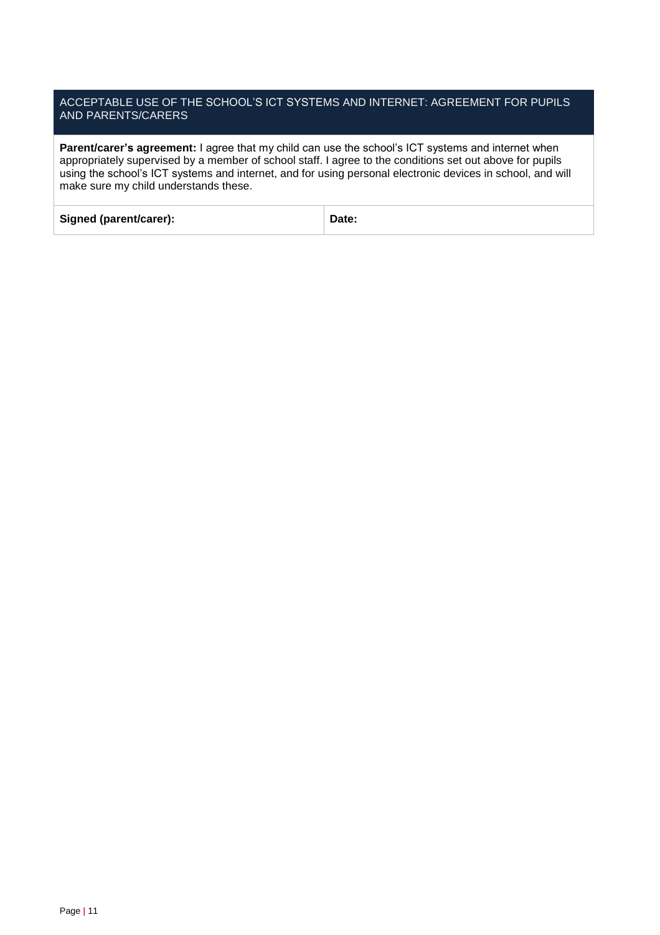#### ACCEPTABLE USE OF THE SCHOOL'S ICT SYSTEMS AND INTERNET: AGREEMENT FOR PUPILS AND PARENTS/CARERS

**Parent/carer's agreement:** I agree that my child can use the school's ICT systems and internet when appropriately supervised by a member of school staff. I agree to the conditions set out above for pupils using the school's ICT systems and internet, and for using personal electronic devices in school, and will make sure my child understands these.

| Signed (parent/carer): | Date: |
|------------------------|-------|
|                        |       |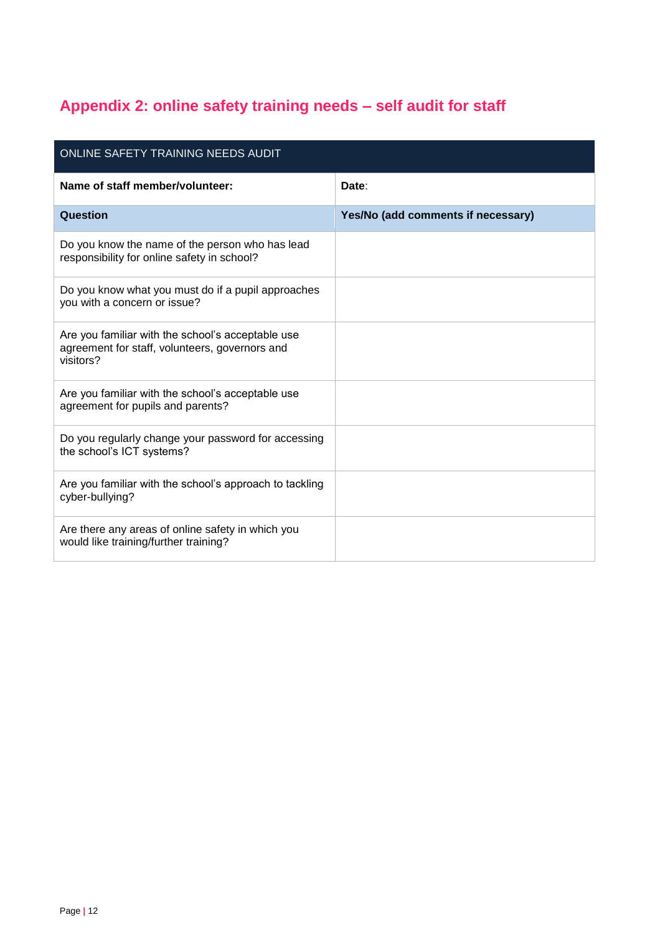# <span id="page-11-0"></span>**Appendix 2: online safety training needs – self audit for staff**

| ONLINE SAFETY TRAINING NEEDS AUDIT                                                                               |                                    |  |  |  |  |
|------------------------------------------------------------------------------------------------------------------|------------------------------------|--|--|--|--|
| Name of staff member/volunteer:                                                                                  | Date:                              |  |  |  |  |
| Question                                                                                                         | Yes/No (add comments if necessary) |  |  |  |  |
| Do you know the name of the person who has lead<br>responsibility for online safety in school?                   |                                    |  |  |  |  |
| Do you know what you must do if a pupil approaches<br>you with a concern or issue?                               |                                    |  |  |  |  |
| Are you familiar with the school's acceptable use<br>agreement for staff, volunteers, governors and<br>visitors? |                                    |  |  |  |  |
| Are you familiar with the school's acceptable use<br>agreement for pupils and parents?                           |                                    |  |  |  |  |
| Do you regularly change your password for accessing<br>the school's ICT systems?                                 |                                    |  |  |  |  |
| Are you familiar with the school's approach to tackling<br>cyber-bullying?                                       |                                    |  |  |  |  |
| Are there any areas of online safety in which you<br>would like training/further training?                       |                                    |  |  |  |  |